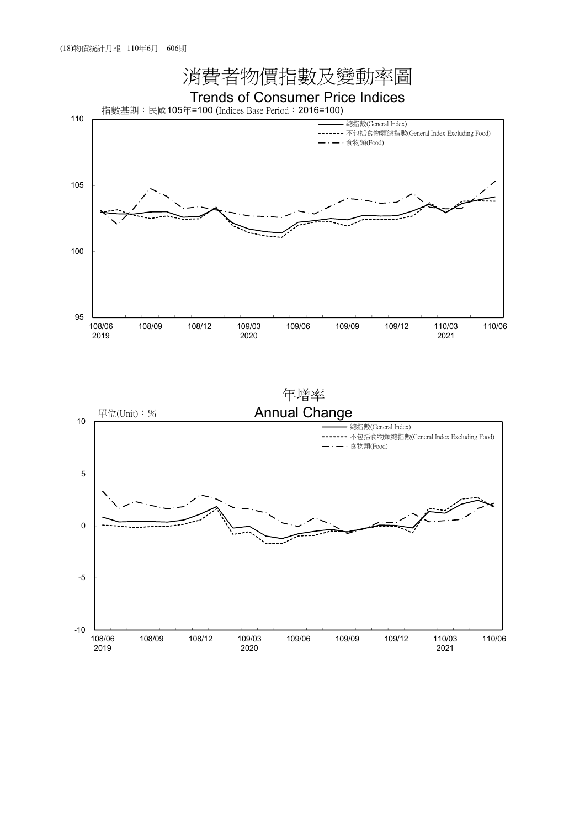

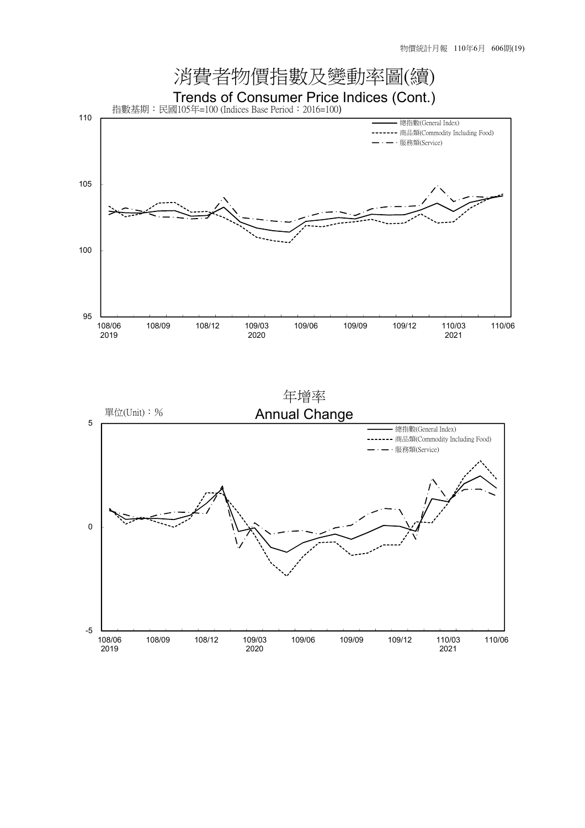